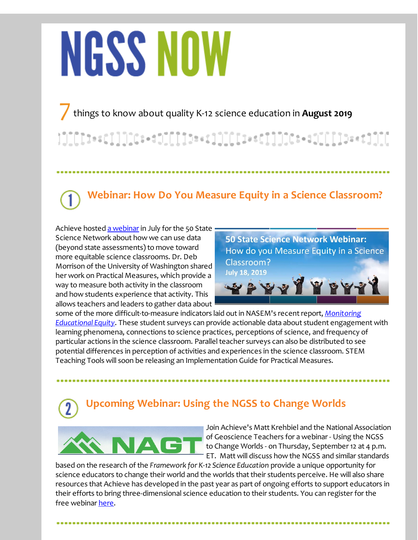# **NGSS NOW**

7things to know about quality K-12 science education in **August <sup>2019</sup>**

## **Webinar: How Do You Measure Equity in a Science Classroom?**

Achieve hosted a [webinar](http://r20.rs6.net/tn.jsp?f=001mKiCvy9UeoUge6T12IPWKwwgF3eX3eO1NAM5sJTdfzlORlSFPBT-5P-Ob3HNH6KaH-2RAX55A19IfzKd_HhQ_YFj1tZ15f3OgflKf1pH0PpoWRVF4cjeRpPoIAeu_pp1g7crWavpFEIekSLEN3jShbVjJpSgQ1nZ64pvICJ1QZOgkdP51_6EtSiMfilXGBZk52MBkEkMKCFhJidjfvI-cLPk6GvU1ULXmt2F97_EY-Sa_EZzGm0tO-JJyfBH0JFgLr0Pn_QvOH_D8n5scuIMiQ==&c=&ch=) in July for the 50 State Science Network about how we can use data (beyond state assessments) to move toward more equitable science classrooms. Dr. Deb Morrison of the University of Washington shared her work on Practical Measures, which provide a way to measure both activity in the classroom and how students experience that activity. This allows teachers and leaders to gather data about

**50 State Science Network Webinar:** How do you Measure Equity in a Science Classroom? **July 18, 2019** 日中

some of the more [difficult-to-measure](http://r20.rs6.net/tn.jsp?f=001mKiCvy9UeoUge6T12IPWKwwgF3eX3eO1NAM5sJTdfzlORlSFPBT-5OALpiJSOWsRmCYxGGDnyydhKVlaO-PfMNGz5f9lNq-fmsjz0wkGCpL20Xir5VWlzK1h83XDEnk_ov3zWHSDnxG2eE-CkmOUD7SZ215FTHPL5iZk8-urrCBIzy7DZ_IKqHeW46AWi2hAC9SbMBb032UOILcmil-QxgpAAXGuRmu4Q_hmCOu11O4=&c=&ch=) indicators laid out in NASEM's recent report, *Monitoring Educational Equity*. These student surveys can provide actionable data about student engagement with learning phenomena, connections to science practices, perceptions of science, and frequency of particular actions in the science classroom. Parallel teacher surveys can also be distributed to see potential differences in perception of activities and experiences in the science classroom. STEM Teaching Tools will soon be releasing an Implementation Guide for Practical Measures.

# **Upcoming Webinar: Using the NGSS to Change Worlds**



Join Achieve's Matt Krehbiel and the National Association of Geoscience Teachers for a webinar - Using the NGSS to Change Worlds - on Thursday, September 12 at 4 p.m. ET. Matt will discuss how the NGSS and similar standards

based on the research of the *Framework for K-12 Science Education* provide a unique opportunity for science educators to change their world and the worlds that their students perceive. He will also share resources that Achieve has developed in the past year as part of ongoing efforts to support educators in their efforts to bring three-dimensional science education to their students. You can register for the free webinar [here](http://r20.rs6.net/tn.jsp?f=001mKiCvy9UeoUge6T12IPWKwwgF3eX3eO1NAM5sJTdfzlORlSFPBT-5P-Ob3HNH6KahKmYhZOJxF_BKZOdoDGIAPPyT6VLsxqPZjwWOaM6XZXGUPtRcoZjsmyN-ozZPPBvGqvTW66RykHrtcPIKoOnktOk5H6x9fp7b5MC8EgOqmMQlMzBx0MhSjbDxLklHkT4N9ZQoHtq4YSW0Tjhz9PZGbLJlWdaxElQ2wGTxsd1xIDegnlDpVKVHA==&c=&ch=).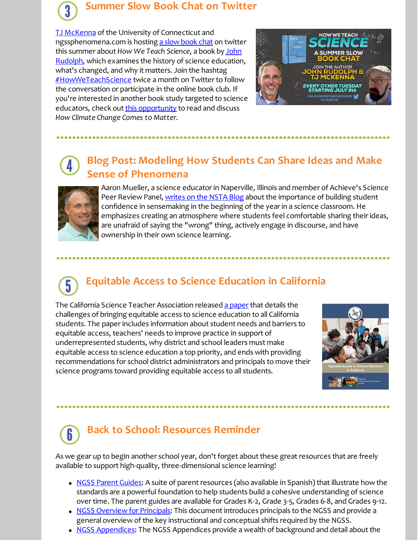#### **Summer Slow Book Chat on Twitter**

**TJ [McKenna](http://r20.rs6.net/tn.jsp?f=001mKiCvy9UeoUge6T12IPWKwwgF3eX3eO1NAM5sJTdfzlORlSFPBT-5OALpiJSOWsRRUJ6yAmYsp1KJjjrBoHZDNbQe35Lph4JQ5nuq9DHIdAaxVWFmx2nH4vNMSxecnHem7iHbwCS2EUN9zZjFes05vMBKWroDkYMUhXmtOjlv3XX1B7VcwICpw==&c=&ch=)** of the University of Connecticut and ngssphenomena.com is hosting a slow [book](http://r20.rs6.net/tn.jsp?f=001mKiCvy9UeoUge6T12IPWKwwgF3eX3eO1NAM5sJTdfzlORlSFPBT-5OALpiJSOWsRAq34Gz8B-sI3kWFgCyUTB1ajPFdrbYIUtPGq3AjBmN5inNpWWsou6kOWbHQz47Yh-BE_boSiKyJrx8v3WsXtmp88oNf7qiOYbMXNl88YL0ZbXRtNs82I2UOjChPBgNKvwJWdJrdaVgn_N2tY_OEpFaR4ipJIevvm&c=&ch=) chat on twitter this summer about *How We Teach Science*, a book by John Rudolph, which [examines](http://r20.rs6.net/tn.jsp?f=001mKiCvy9UeoUge6T12IPWKwwgF3eX3eO1NAM5sJTdfzlORlSFPBT-5OALpiJSOWsRIWqgtmcuEWdd6oHhzQHJiQikvOx4vCCzCZsRFFua4BEQFpawnb1EEj8qplOCFmaPQeEFUkSWKA6C2vJG1LIiK7y11Js0M7O9yWMtygCQedQlzUdOQ0e5Fg==&c=&ch=) the history of science education, what's changed, and why it matters. Join the hashtag [#HowWeTeachScience](http://r20.rs6.net/tn.jsp?f=001mKiCvy9UeoUge6T12IPWKwwgF3eX3eO1NAM5sJTdfzlORlSFPBT-5OALpiJSOWsRZ6sBqq8c7dlV4P2yyNk1P-qLwgWs4pWWb28jwiHvvKLe4ZSAaf3J4aPQ08cM_zPFAwY2j4xpukuBDyqZBScIvoKGE6JpvdnsoUMJiKZGjwdeUJavxDMFFGAF60HY5LdD2bHrBr7QVbZLkpvAZNK7G9RMKClA9ooNOj_6dUksZjc=&c=&ch=) twice a month on Twitter to follow the conversation or participate in the online book club. If you're interested in another book study targeted to science educators, check out this [opportunity](http://r20.rs6.net/tn.jsp?f=001mKiCvy9UeoUge6T12IPWKwwgF3eX3eO1NAM5sJTdfzlORlSFPBT-5OALpiJSOWsR-0U5hJJbTUHwirTaqub0PC0X1N4ERb_qZHHj1gQNPR6FMMirHCtRcGrkRtxGpyFdQmyzDn-4w5QSrc3ESm9E7xR5PQXglULGbeCr2jZEjmLwn1ASr1GKNGrphvzuarFl5FXJNTCojDQ8HZeWaZCvG_gzvGfcqb_8j5lu44jJxo4=&c=&ch=) to read and discuss *How Climate Change Comes to Matter*.



#### **Blog Post: Modeling How Students Can Share Ideas and Make Sense of Phenomena**



Aaron Mueller, a science educator in Naperville, Illinois and member of Achieve's Science Peer Review Panel, [writes](http://r20.rs6.net/tn.jsp?f=001mKiCvy9UeoUge6T12IPWKwwgF3eX3eO1NAM5sJTdfzlORlSFPBT-5OALpiJSOWsRXJNdBIMtWXQMaWgweeU1SHSQ8Sfmu3UQzKJoLnBUSG4I-sOo5R9GmE8GX7vc7rnm_MEI3bzi1WMlL6OH-5GEsAg4GZwEJGboO7WyE1aSWjC5KxGQACr4jNwKxgINiv_FBRAUP_nde_ccypHynVGw4n-B_hyJNYbOwNt1S8s5Ng2z9tCovq5ZRMJ5fqDFmGpzPaUXp-MfIcFB2_F1EVMGIldXlJf02MGP5QklagaCaAAiE3hMd4LELg==&c=&ch=) on the NSTA Blog about the importance of building student confidence in sensemaking in the beginning of the year in a science classroom. He emphasizes creating an atmosphere where students feel comfortable sharing their ideas, are unafraid of saying the "wrong" thing, actively engage in discourse, and have ownership in their own science learning.

### **Equitable Access to Science Education in California**

The California Science Teacher Association released a [paper](http://r20.rs6.net/tn.jsp?f=001mKiCvy9UeoUge6T12IPWKwwgF3eX3eO1NAM5sJTdfzlORlSFPBT-5OALpiJSOWsRcfXjBkKbkLrXI63jjFvgjXegLdQLOPU1wwNgxWTvG84pAF9lc2EsU1uFmhNPKXRL4EyudwBIQEFouwsjq02H9PZpENTDDhz0kLs3vb_qDcQvhxdo2XywYSxD7wsC3o1yTrYw8TwpmC8-5yrUVNgGGqpN5-6GqQLT&c=&ch=) that details the challenges of bringing equitable access to science education to all California students. The paper includes information about student needs and barriers to equitable access, teachers' needs to improve practice in support of underrepresented students, why district and school leaders must make equitable access to science education a top priority, and ends with providing recommendations for school district administrators and principals to move their science programs toward providing equitable access to all students.



#### **Back to School: Resources Reminder** 6

As we gear up to begin another school year, don't forget about these great resources that are freely available to support high-quality, three-dimensional science learning!

- NGSS [Parent](http://r20.rs6.net/tn.jsp?f=001mKiCvy9UeoUge6T12IPWKwwgF3eX3eO1NAM5sJTdfzlORlSFPBT-5GR59exj_fPkHFuzBnRJUbKMHnLHkY_7w3y5rPjH97NPr28MNR5KNZOmzEHvyg8pg_Kk0H8qLThGzsM_MwDjh6sdKD8utxjTHhWrI98tAraHl2RLVNViALohZt42kKmaWUGP-ARPuKKTWI8nfRhzzuE=&c=&ch=) Guides: A suite of parent resources (also available in Spanish) that illustrate how the standards are a powerful foundation to help students build a cohesive understanding of science over time. The parent guides are available for Grades K-2, Grade 3-5, Grades 6-8, and Grades 9-12.
- NGSS [Overview](http://r20.rs6.net/tn.jsp?f=001mKiCvy9UeoUge6T12IPWKwwgF3eX3eO1NAM5sJTdfzlORlSFPBT-5P-Ob3HNH6KaULW1__pGPYZw1OwjNIkrFHD0IOhxrkF0eTS7LjVZ3kuxKyXCVN6vnUNfuCLahYAaBa4uzTz8xdvJfF8P3HvE6gEQTAfjlyWpj9ILNprfA0IZD_EHJSQHIDJ-n5f8Vdz1nn8Ng1j8ALDc2Igv2m4ySpTfYUMi81urks8J49-_r3k=&c=&ch=) for Principals: This document introduces principals to the NGSS and provide a general overview of the key instructional and conceptual shifts required by the NGSS.
- NGSS [Appendices](http://r20.rs6.net/tn.jsp?f=001mKiCvy9UeoUge6T12IPWKwwgF3eX3eO1NAM5sJTdfzlORlSFPBT-5LwinRhLX9Brd4lBnvL5PeMi8dxiYddj-DONMWiChKuVgJvq7-kRGJpeLGv6rikH5j_TFKWKIZTw1sO9NF68eAWtFQxNO0RrDaBJZibhWYDZA4DsNF7UePvaq1ikfO4VQg7FDj_tHw8cVsZvlkAXc5iKR8QyFGz5-2OWh63ZzeIr&c=&ch=): The NGSS Appendices provide a wealth of background and detail about the